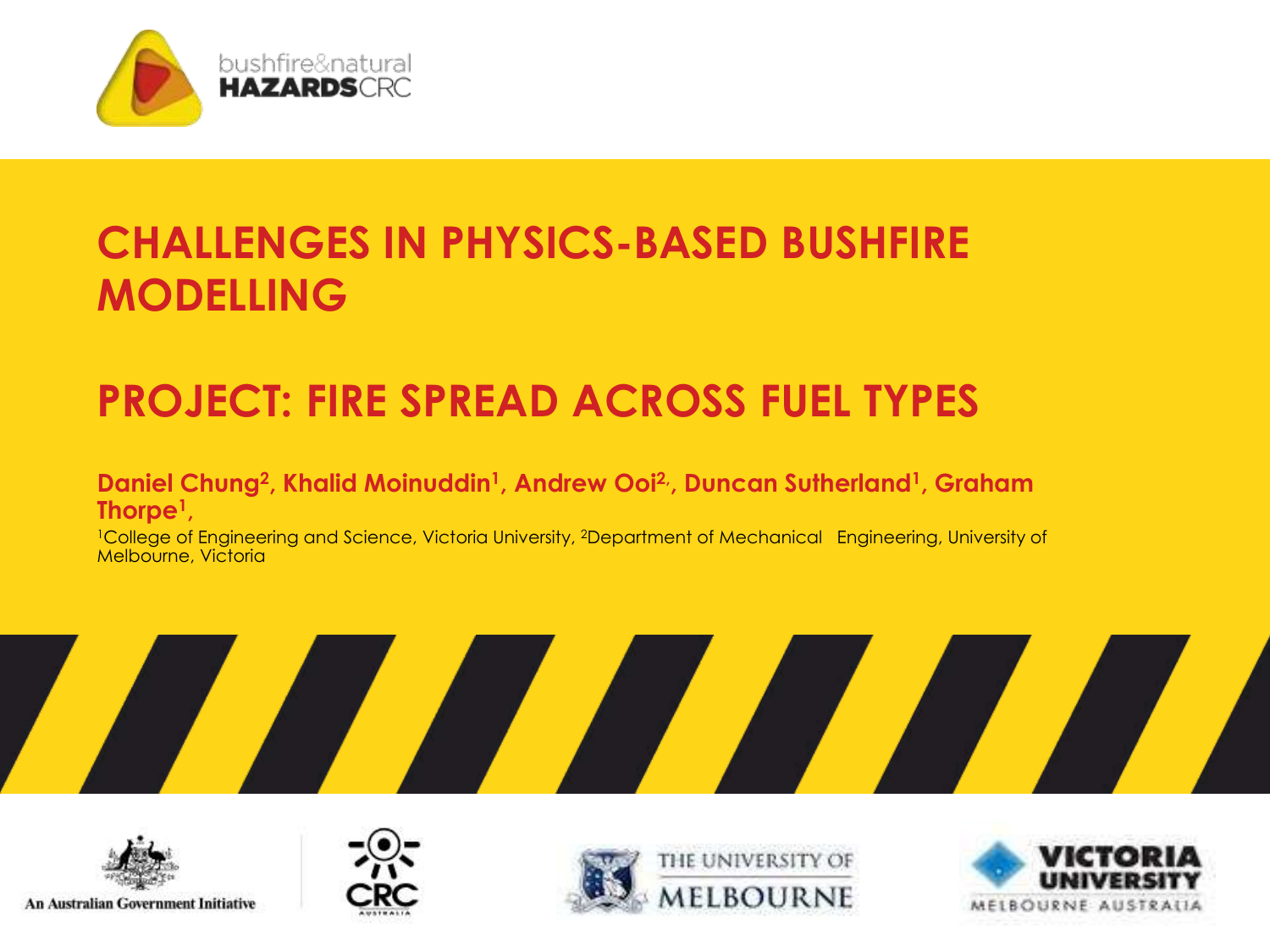

### **CHALLENGES IN PHYSICS-BASED BUSHFIRE MODELLING**

### **PROJECT: FIRE SPREAD ACROSS FUEL TYPES**

#### **Daniel Chung<sup>2</sup> , Khalid Moinuddin<sup>1</sup> , Andrew Ooi2,, Duncan Sutherland<sup>1</sup> , Graham Thorpe<sup>1</sup> ,**

<sup>1</sup>College of Engineering and Science, Victoria University, <sup>2</sup>Department of Mechanical Engineering, University of Melbourne, Victoria











An Australian Government Initiative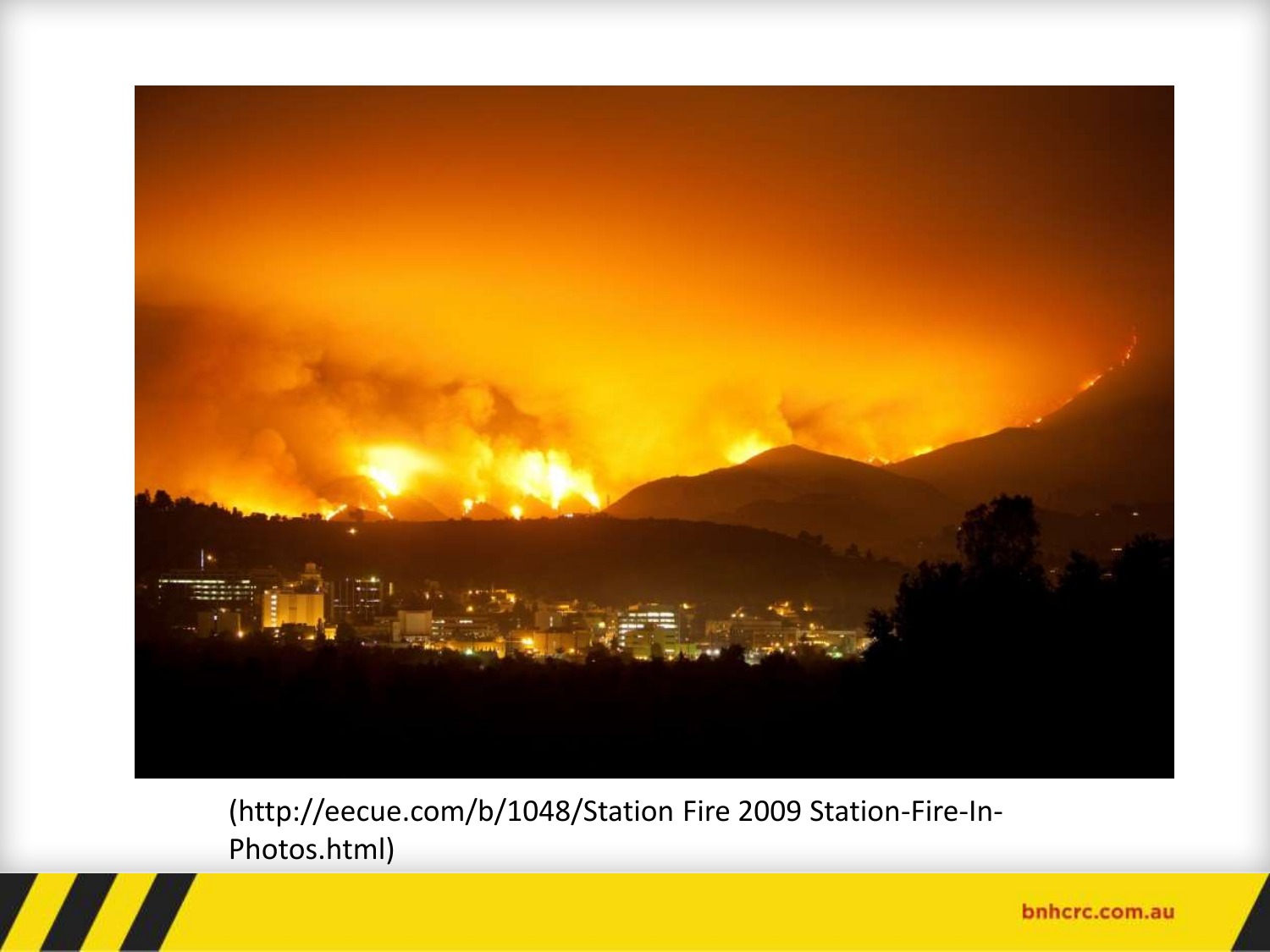

(http://eecue.com/b/1048/Station Fire 2009 Station-Fire-In-Photos.html)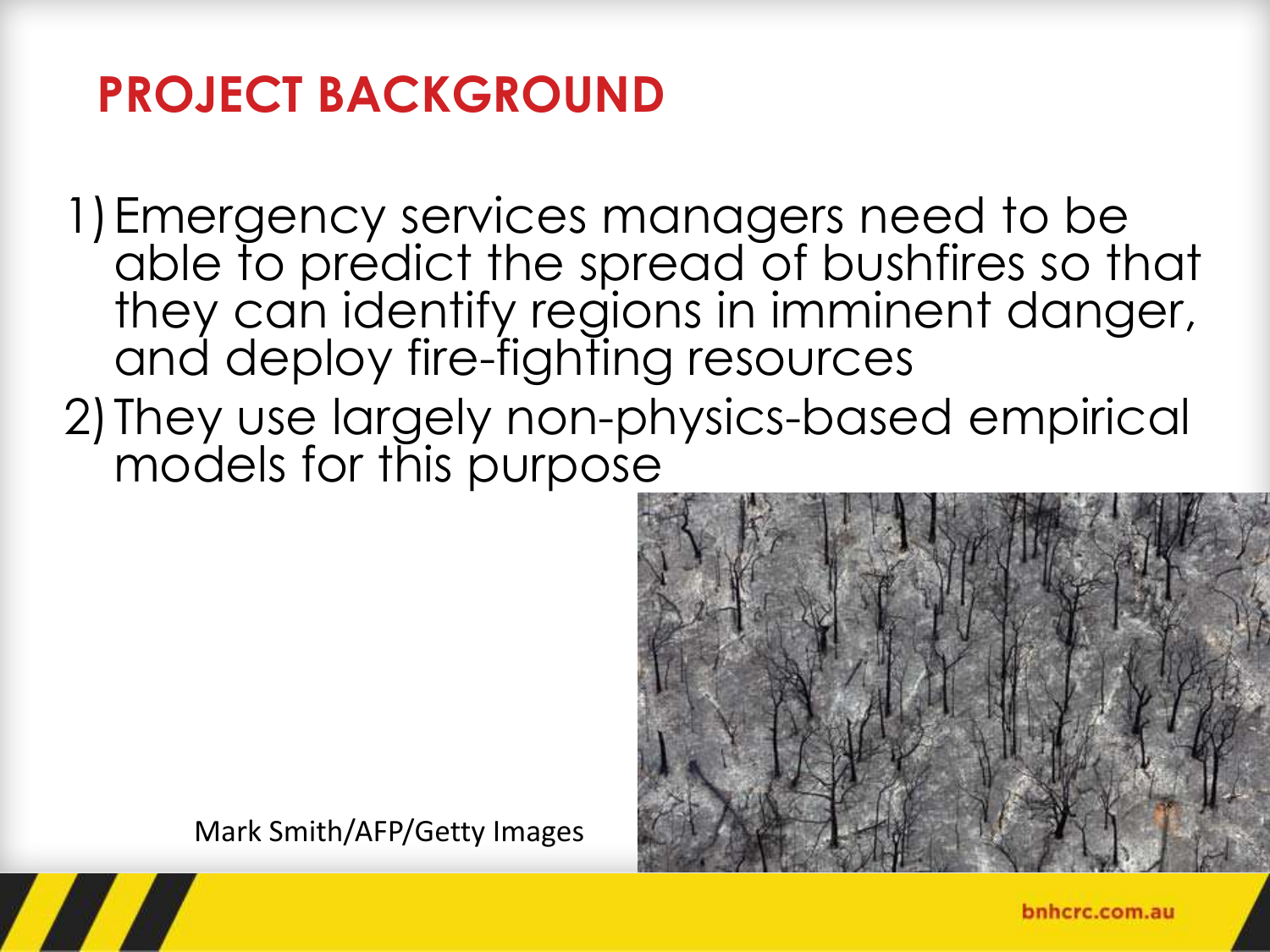# **PROJECT BACKGROUND**

1)Emergency services managers need to be able to predict the spread of bushfires so that they can identify regions in imminent danger, and deploy fire-fighting resources

2)They use largely non-physics-based empirical models for this purpose



Mark Smith/AFP/Getty Images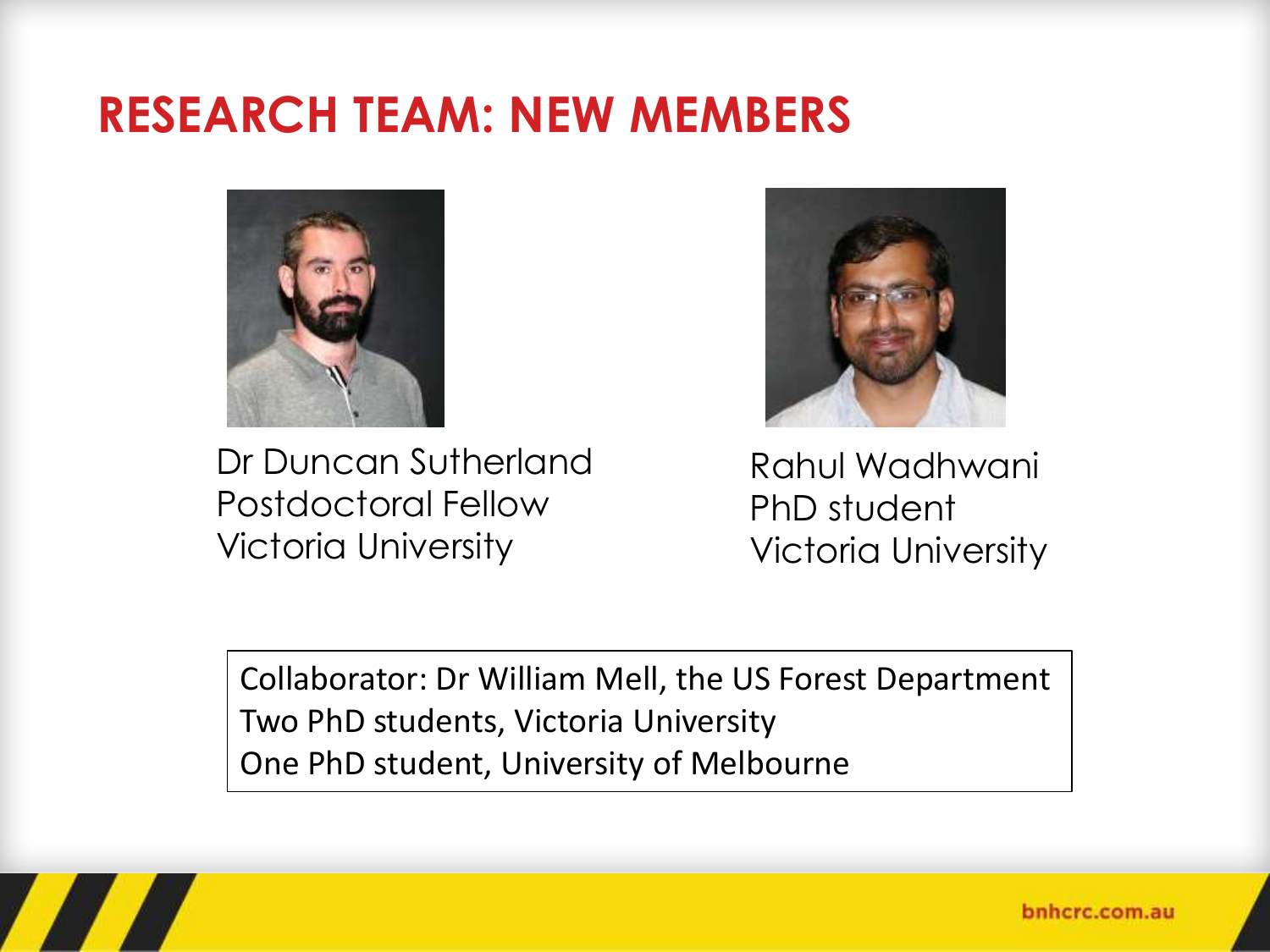### **RESEARCH TEAM: NEW MEMBERS**



Dr Duncan Sutherland Postdoctoral Fellow Victoria University



Rahul Wadhwani PhD student Victoria University

Collaborator: Dr William Mell, the US Forest Department Two PhD students, Victoria University One PhD student, University of Melbourne

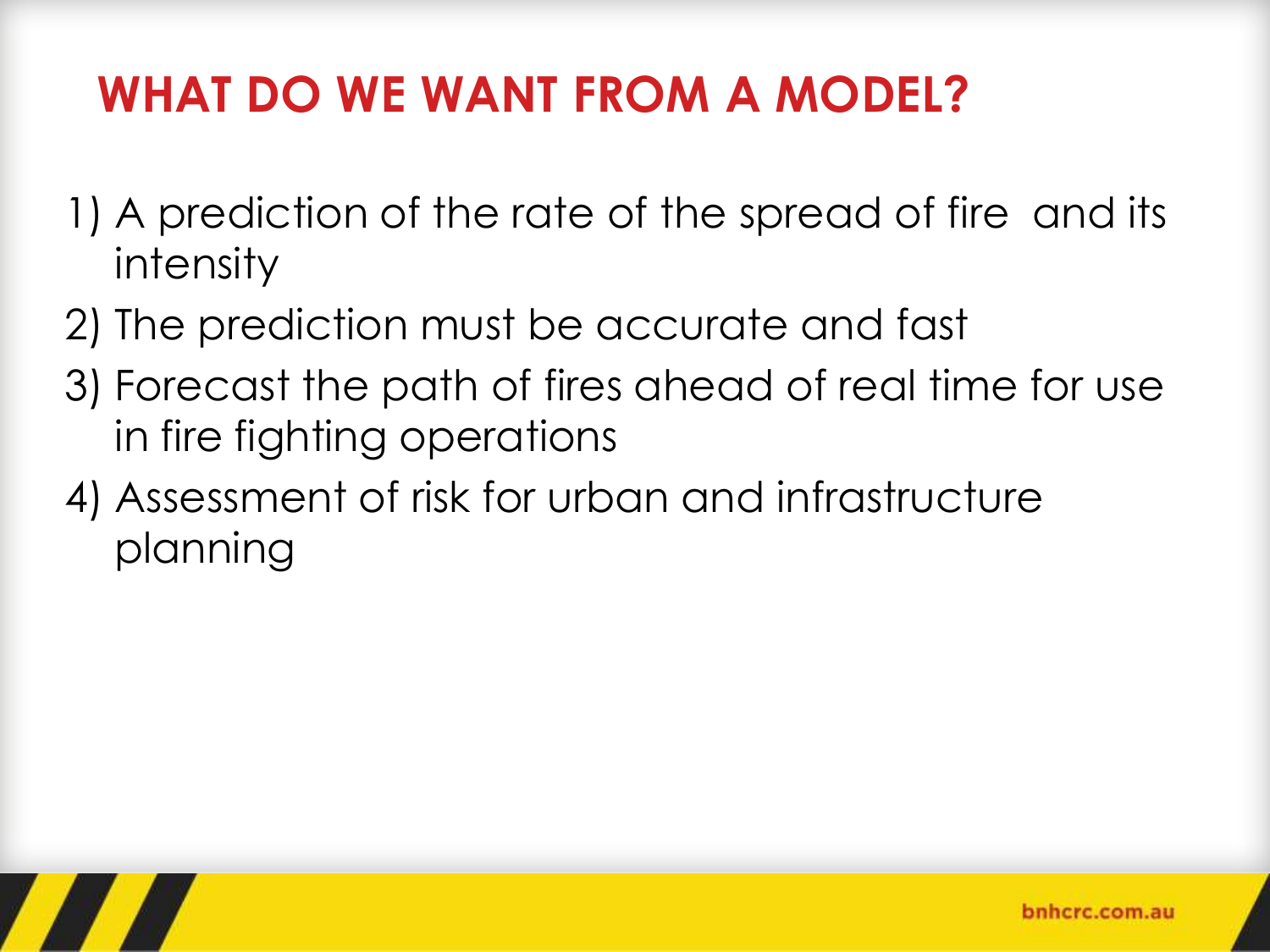# **WHAT DO WE WANT FROM A MODEL?**

- 1) A prediction of the rate of the spread of fire and its intensity
- 2) The prediction must be accurate and fast
- 3) Forecast the path of fires ahead of real time for use in fire fighting operations
- 4) Assessment of risk for urban and infrastructure planning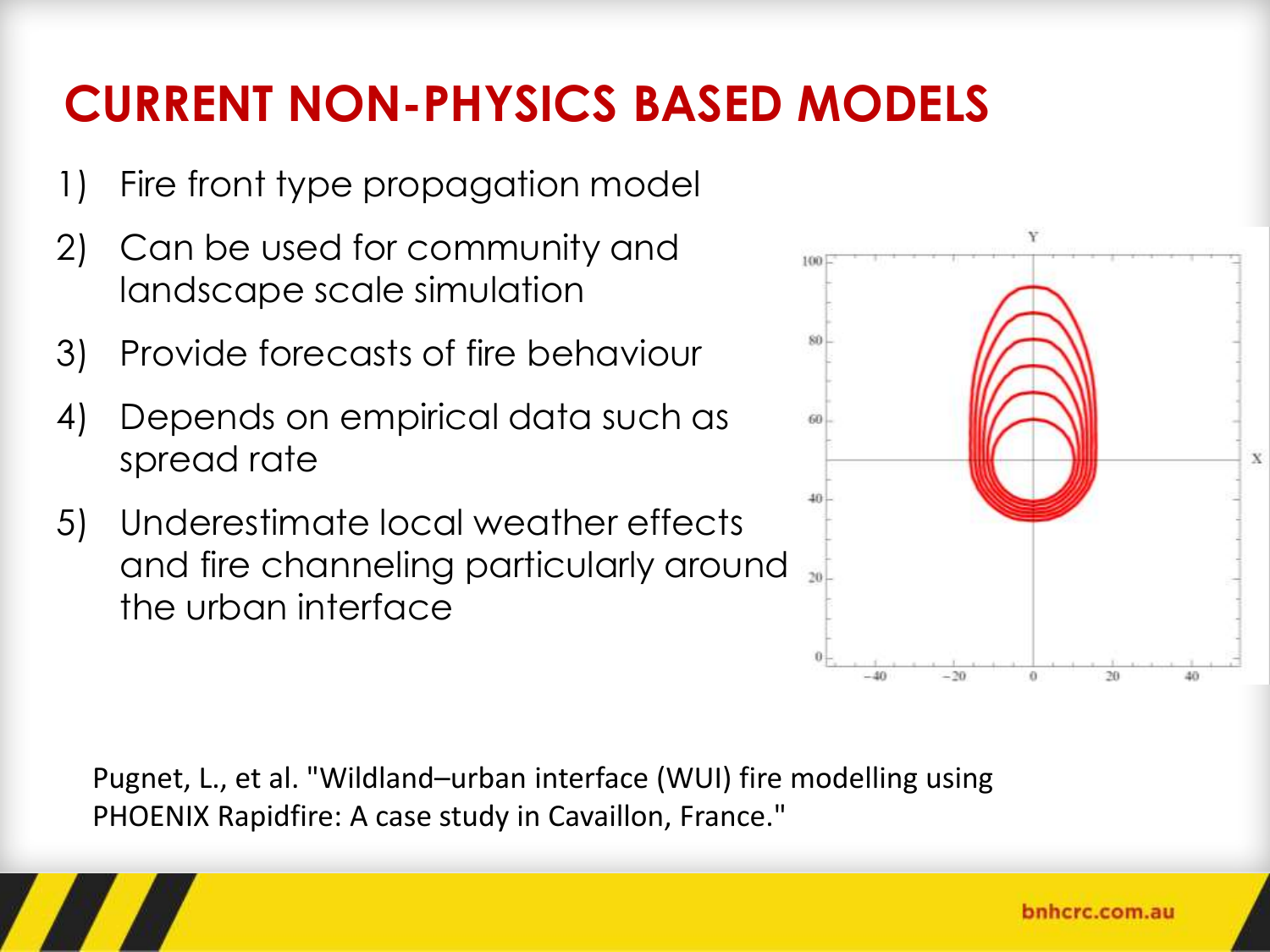# **CURRENT NON-PHYSICS BASED MODELS**

- 1) Fire front type propagation model
- 2) Can be used for community and landscape scale simulation
- 3) Provide forecasts of fire behaviour
- 4) Depends on empirical data such as spread rate
- 5) Underestimate local weather effects and fire channeling particularly around the urban interface

Pugnet, L., et al. "Wildland–urban interface (WUI) fire modelling using PHOENIX Rapidfire: A case study in Cavaillon, France."

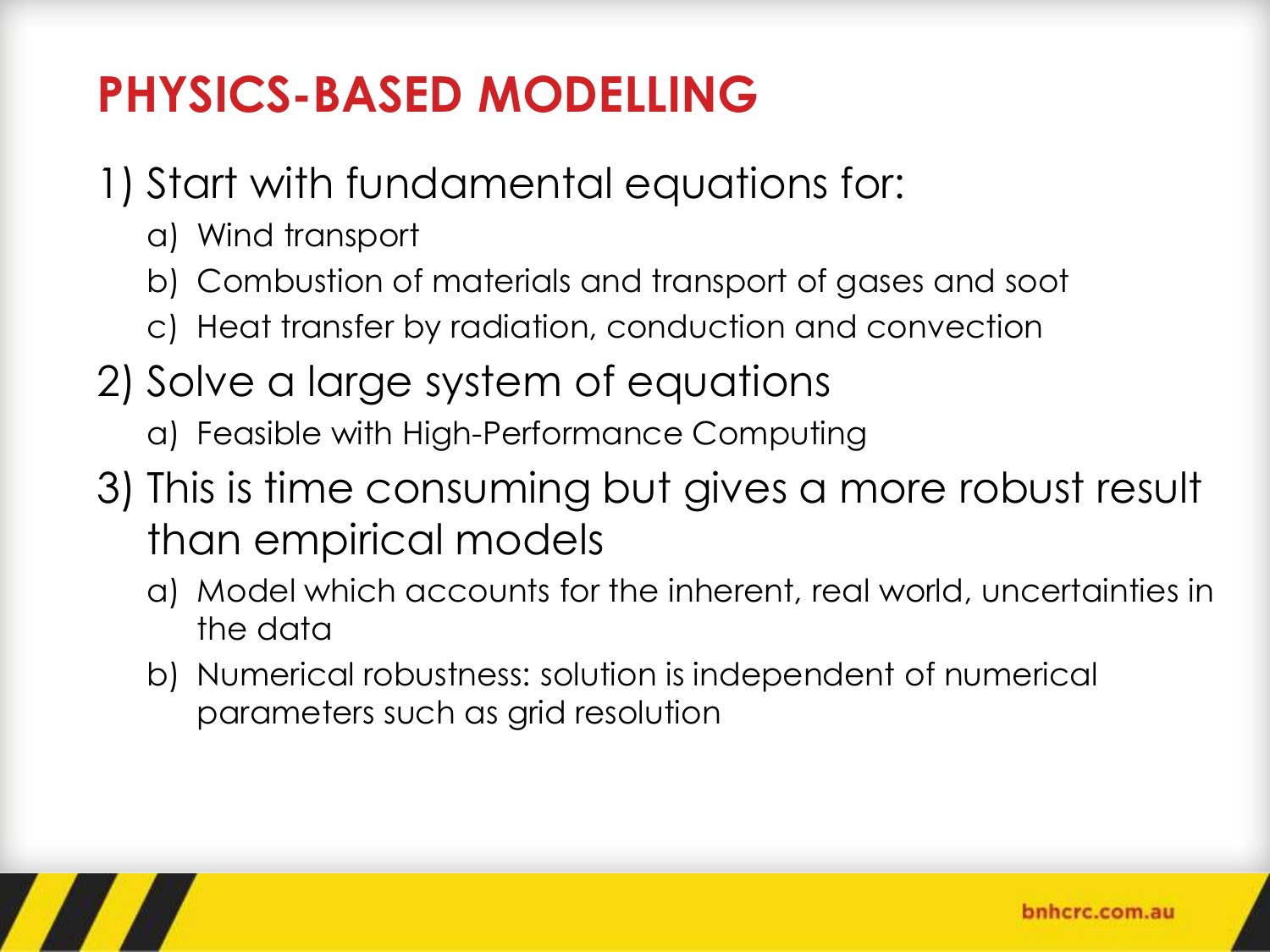# **PHYSICS-BASED MODELLING**

- 1) Start with fundamental equations for:
	- a) Wind transport
	- b) Combustion of materials and transport of gases and soot
	- c) Heat transfer by radiation, conduction and convection
- 2) Solve a large system of equations a) Feasible with High-Performance Computing
- 3) This is time consuming but gives a more robust result than empirical models
	- a) Model which accounts for the inherent, real world, uncertainties in the data
	- b) Numerical robustness: solution is independent of numerical parameters such as grid resolution

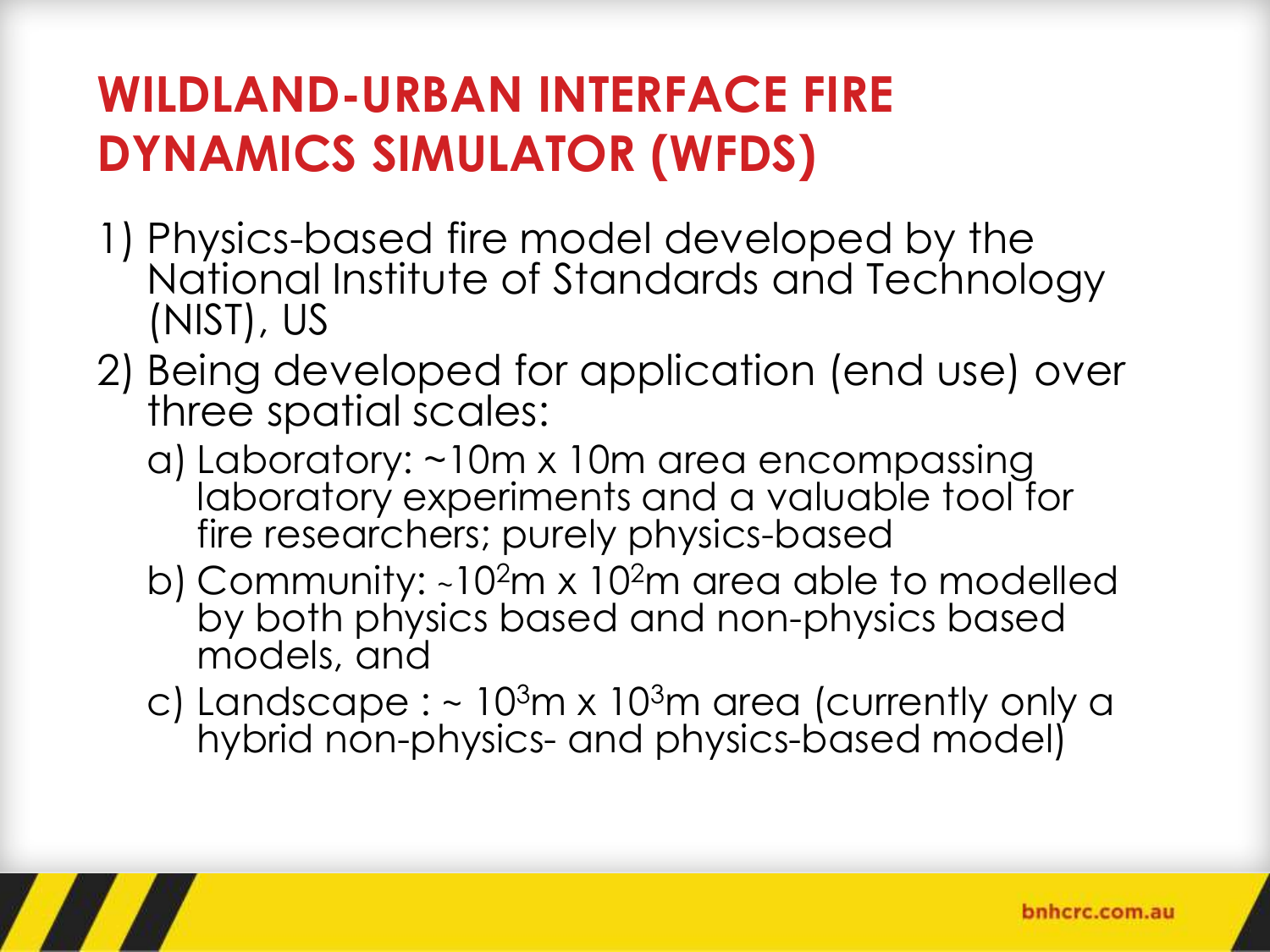# **WILDLAND-URBAN INTERFACE FIRE DYNAMICS SIMULATOR (WFDS)**

- 1) Physics-based fire model developed by the National Institute of Standards and Technology (NIST), US
- 2) Being developed for application (end use) over three spatial scales:
	- a) Laboratory: ~10m x 10m area encompassing laboratory experiments and a valuable tool for fire researchers; purely physics-based
	- b) Community:  $\sim 10^2$ m x 10<sup>2</sup>m area able to modelled by both physics based and non-physics based models, and
	- c) Landscape :  $\sim 10^{3}$ m x 10<sup>3</sup>m area (currently only a hybrid non-physics- and physics-based model)

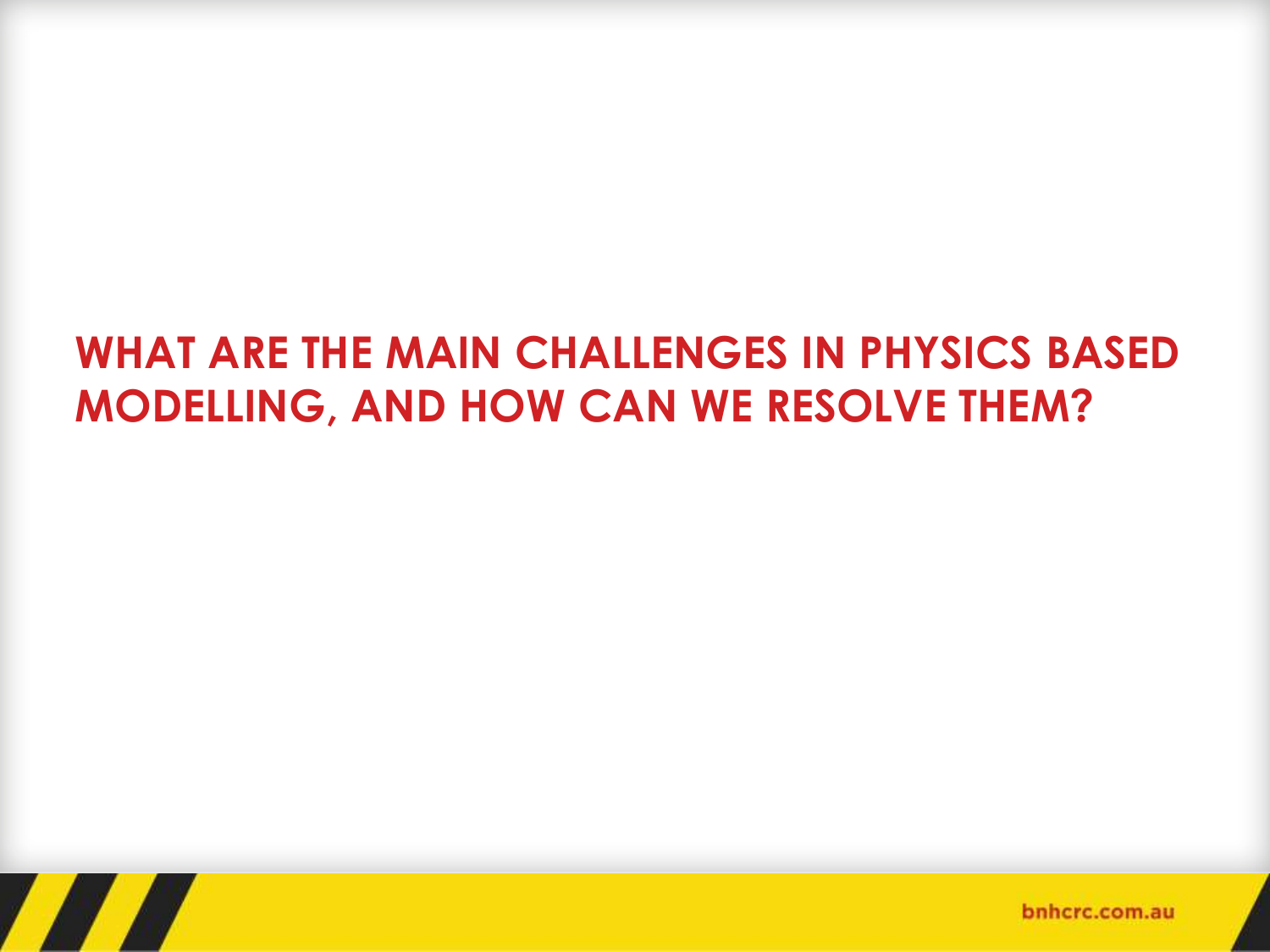### **WHAT ARE THE MAIN CHALLENGES IN PHYSICS BASED MODELLING, AND HOW CAN WE RESOLVE THEM?**

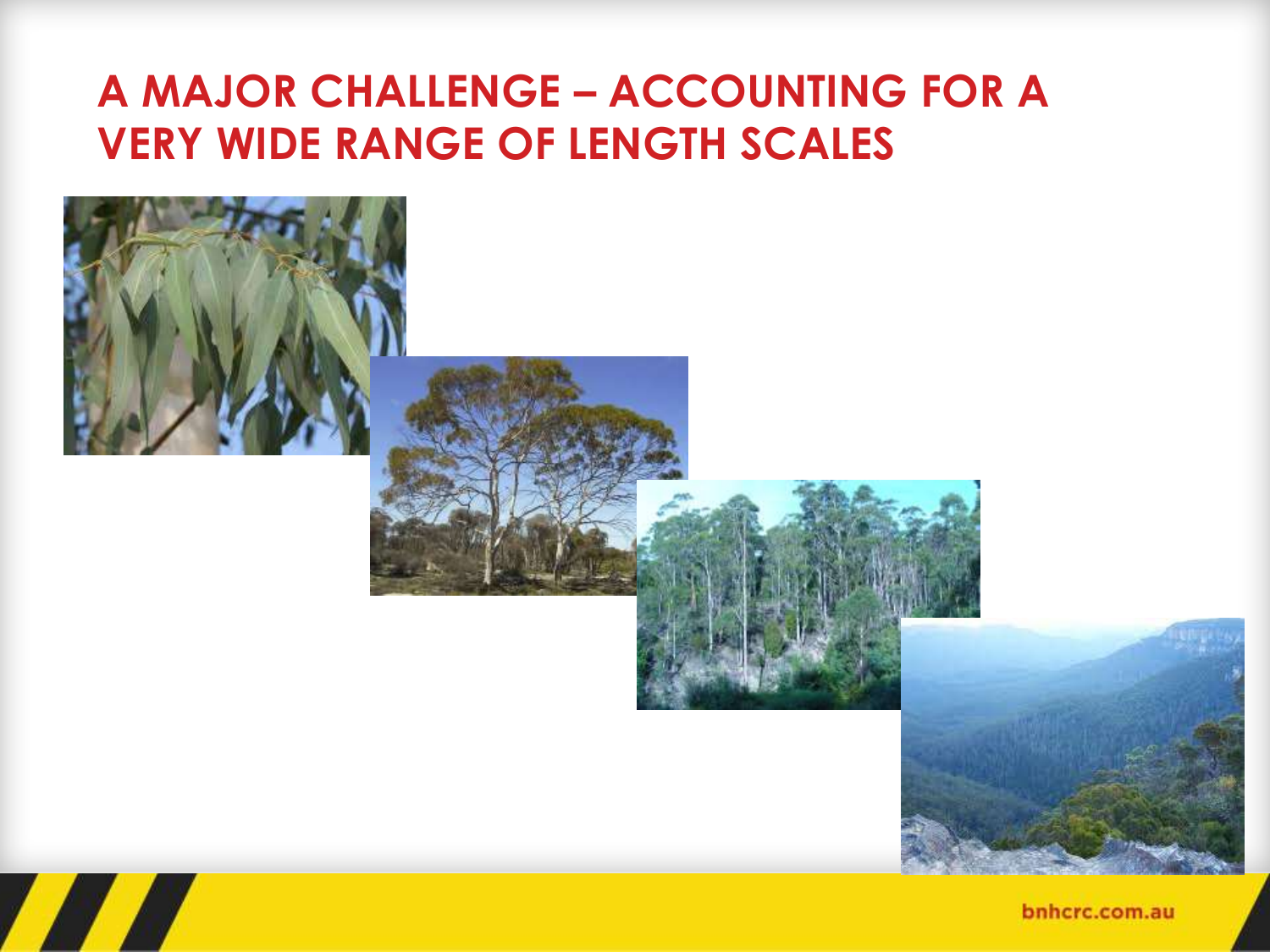#### **A MAJOR CHALLENGE – ACCOUNTING FOR A VERY WIDE RANGE OF LENGTH SCALES**



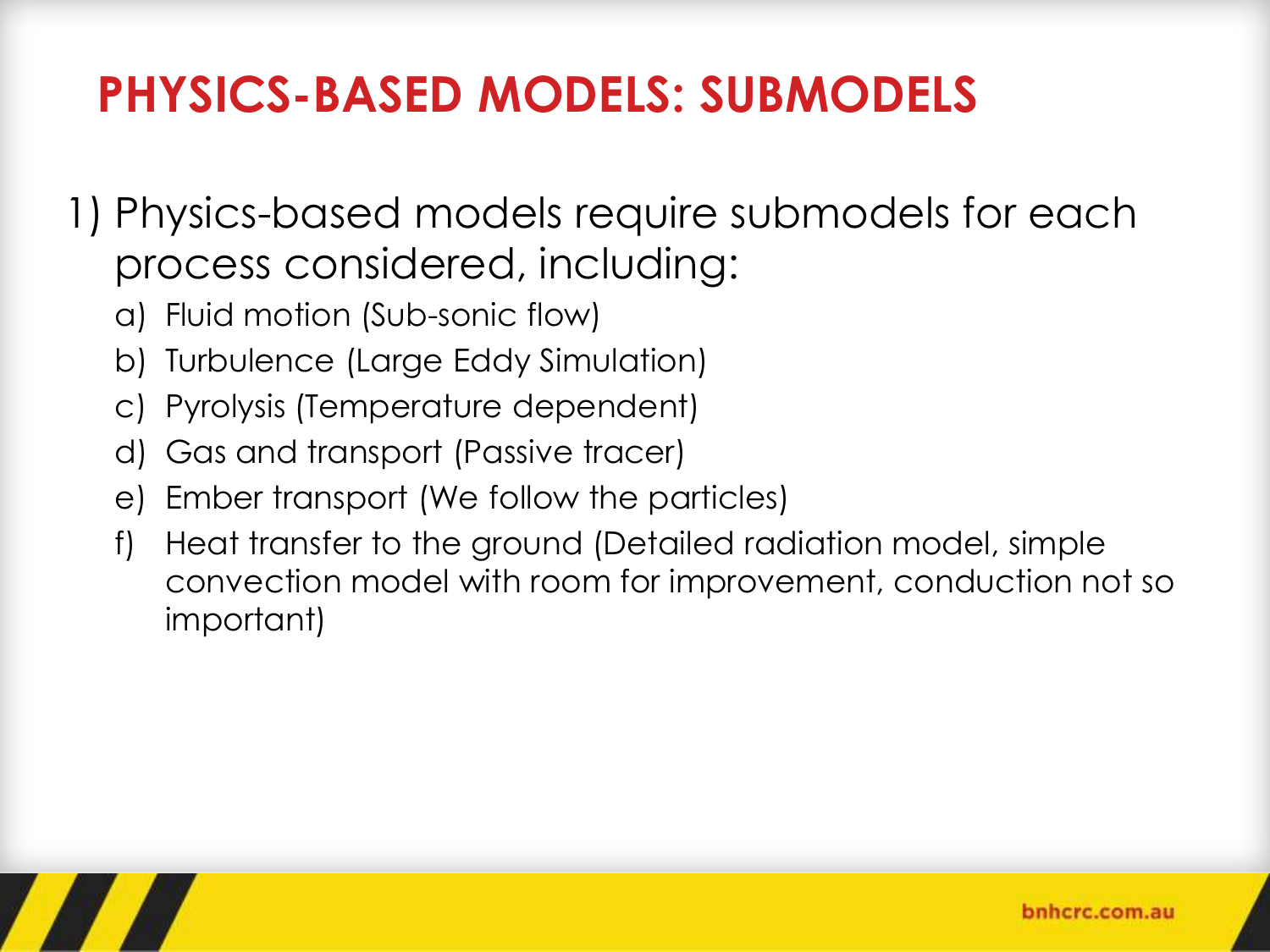# **PHYSICS-BASED MODELS: SUBMODELS**

- 1) Physics-based models require submodels for each process considered, including:
	- a) Fluid motion (Sub-sonic flow)
	- b) Turbulence (Large Eddy Simulation)
	- c) Pyrolysis (Temperature dependent)
	- d) Gas and transport (Passive tracer)
	- e) Ember transport (We follow the particles)
	- f) Heat transfer to the ground (Detailed radiation model, simple convection model with room for improvement, conduction not so important)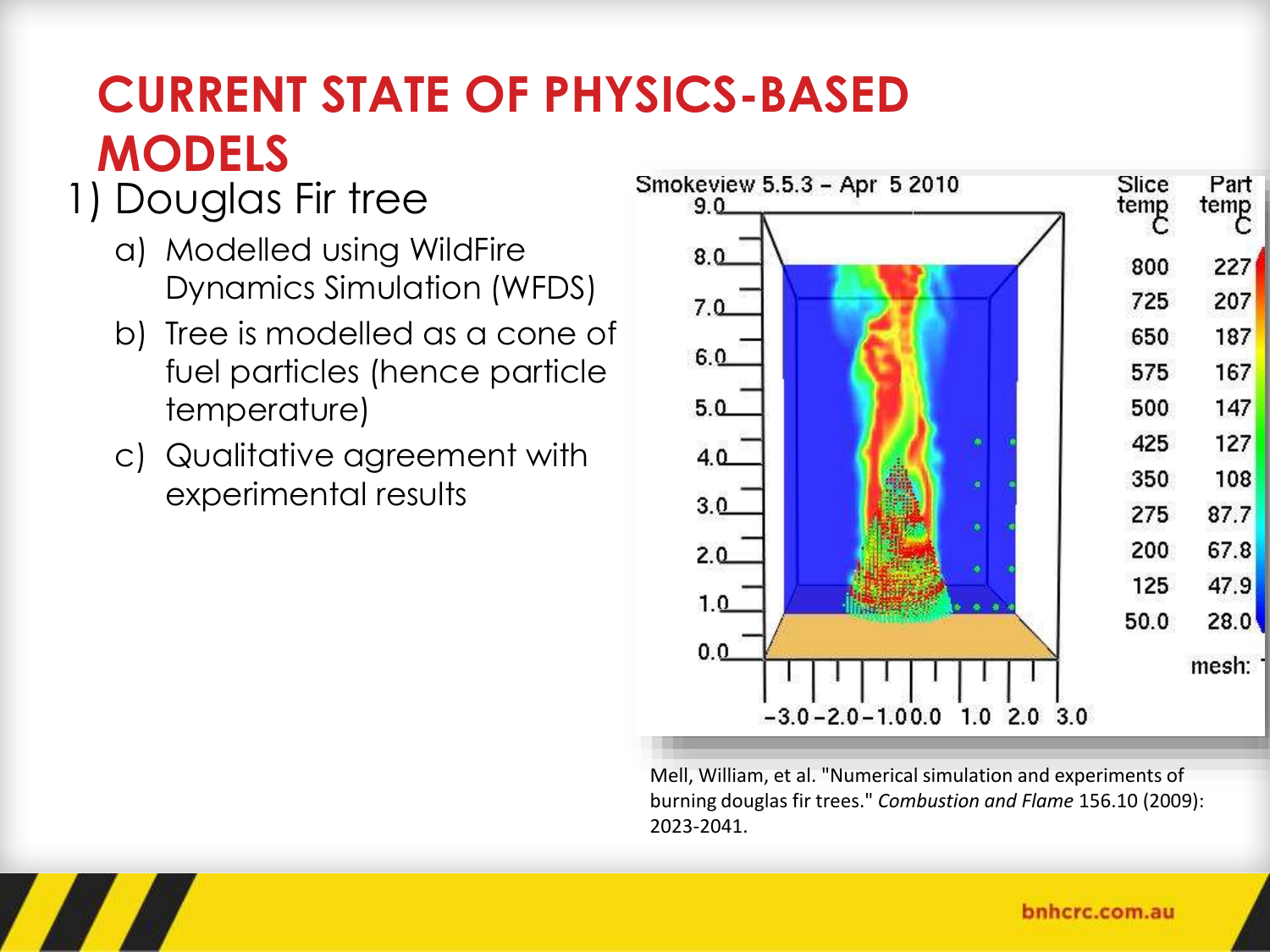# **CURRENT STATE OF PHYSICS-BASED MODELS**

### 1) Douglas Fir tree

- a) Modelled using WildFire Dynamics Simulation (WFDS)
- b) Tree is modelled as a cone of fuel particles (hence particle temperature)
- c) Qualitative agreement with experimental results



Mell, William, et al. "Numerical simulation and experiments of burning douglas fir trees." *Combustion and Flame* 156.10 (2009): 2023-2041.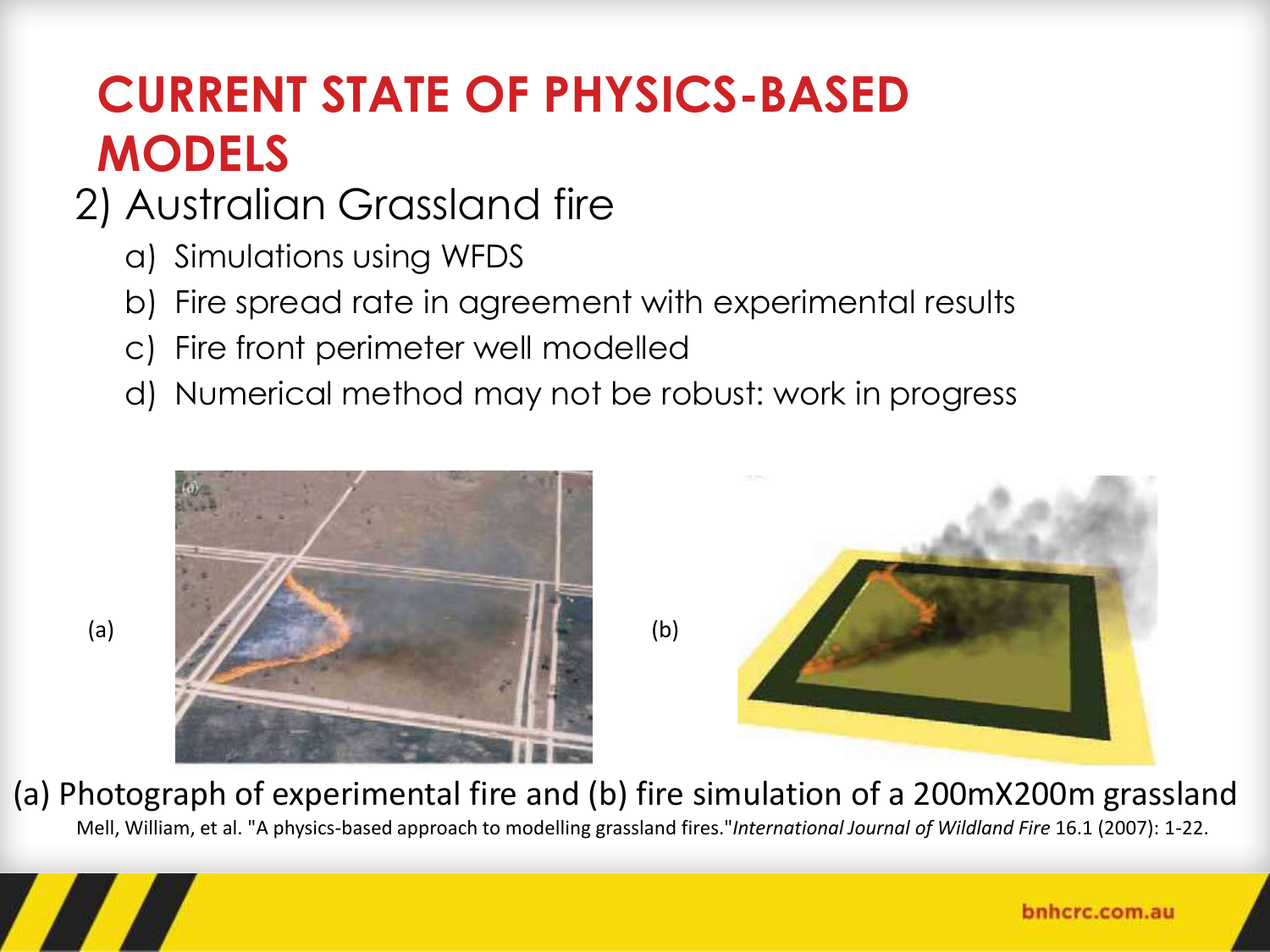# **CURRENT STATE OF PHYSICS-BASED MODELS**

### 2) Australian Grassland fire

- a) Simulations using WFDS
- b) Fire spread rate in agreement with experimental results
- c) Fire front perimeter well modelled
- d) Numerical method may not be robust: work in progress





(a) Photograph of experimental fire and (b) fire simulation of a 200mX200m grassland Mell, William, et al. "A physics-based approach to modelling grassland fires."*International Journal of Wildland Fire* 16.1 (2007): 1-22.

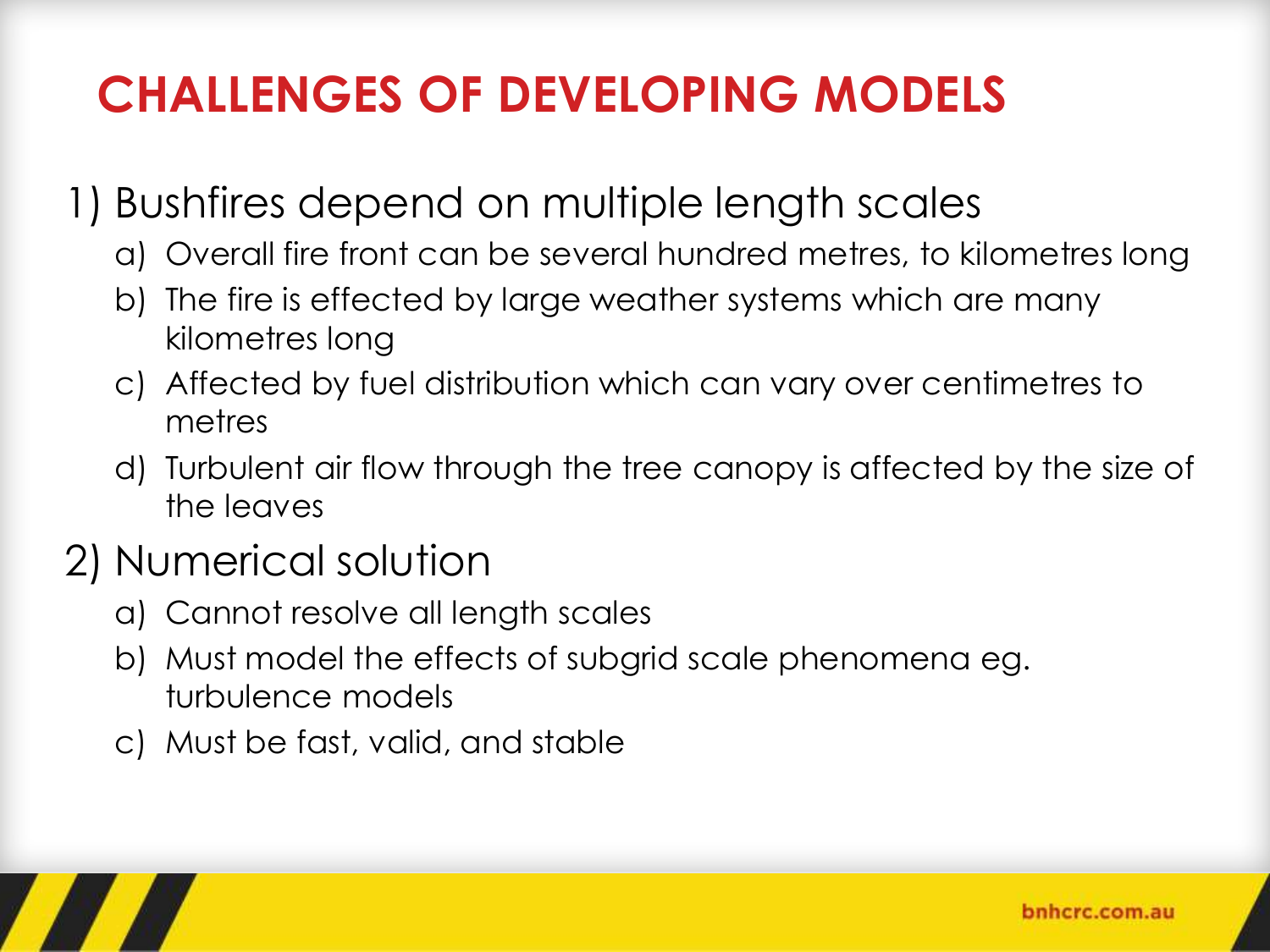# **CHALLENGES OF DEVELOPING MODELS**

### 1) Bushfires depend on multiple length scales

- a) Overall fire front can be several hundred metres, to kilometres long
- b) The fire is effected by large weather systems which are many kilometres long
- c) Affected by fuel distribution which can vary over centimetres to metres
- d) Turbulent air flow through the tree canopy is affected by the size of the leaves

### 2) Numerical solution

- a) Cannot resolve all length scales
- b) Must model the effects of subgrid scale phenomena eg. turbulence models
- c) Must be fast, valid, and stable

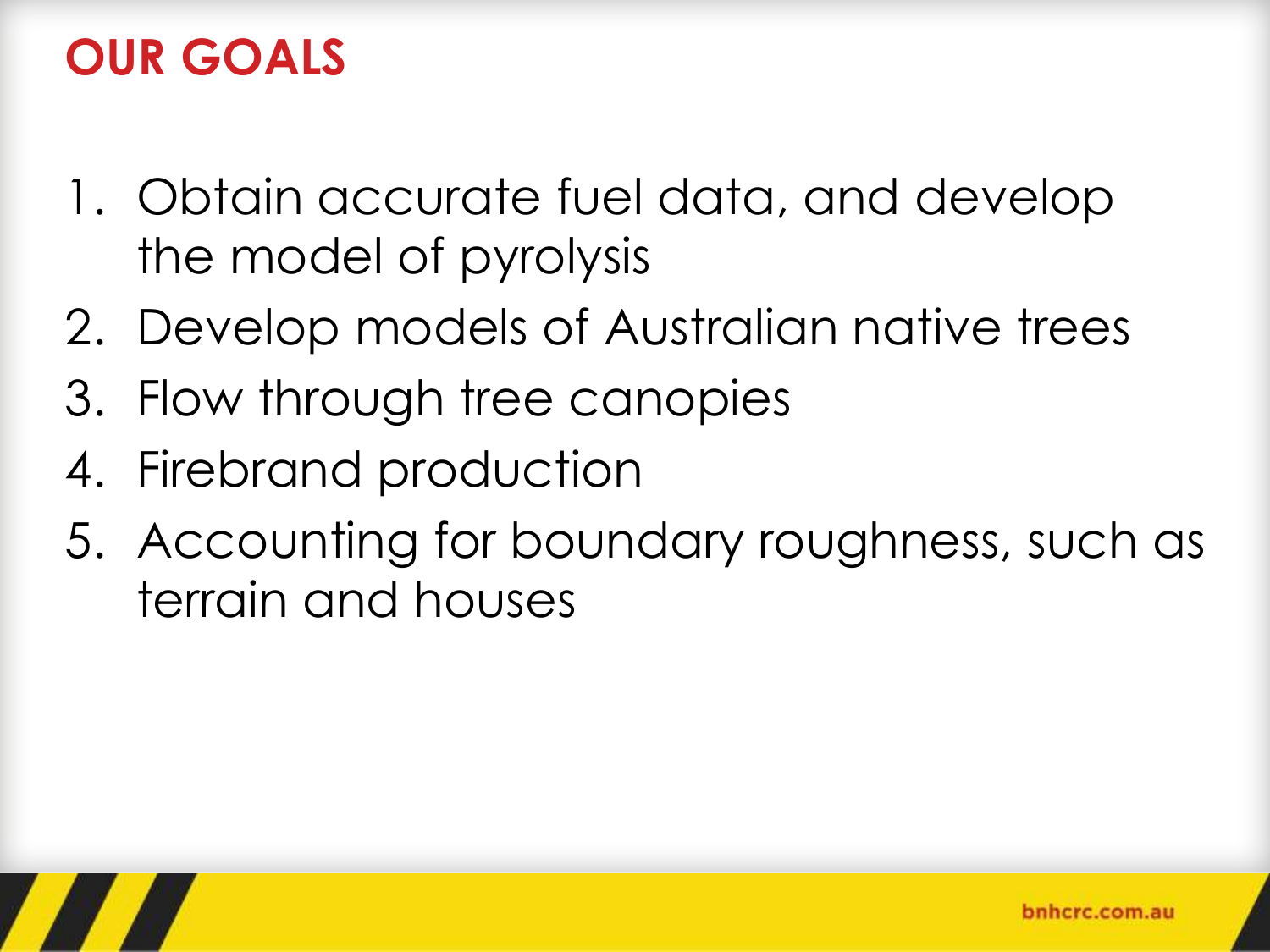## **OUR GOALS**

- 1. Obtain accurate fuel data, and develop the model of pyrolysis
- 2. Develop models of Australian native trees
- 3. Flow through tree canopies
- 4. Firebrand production
- 5. Accounting for boundary roughness, such as terrain and houses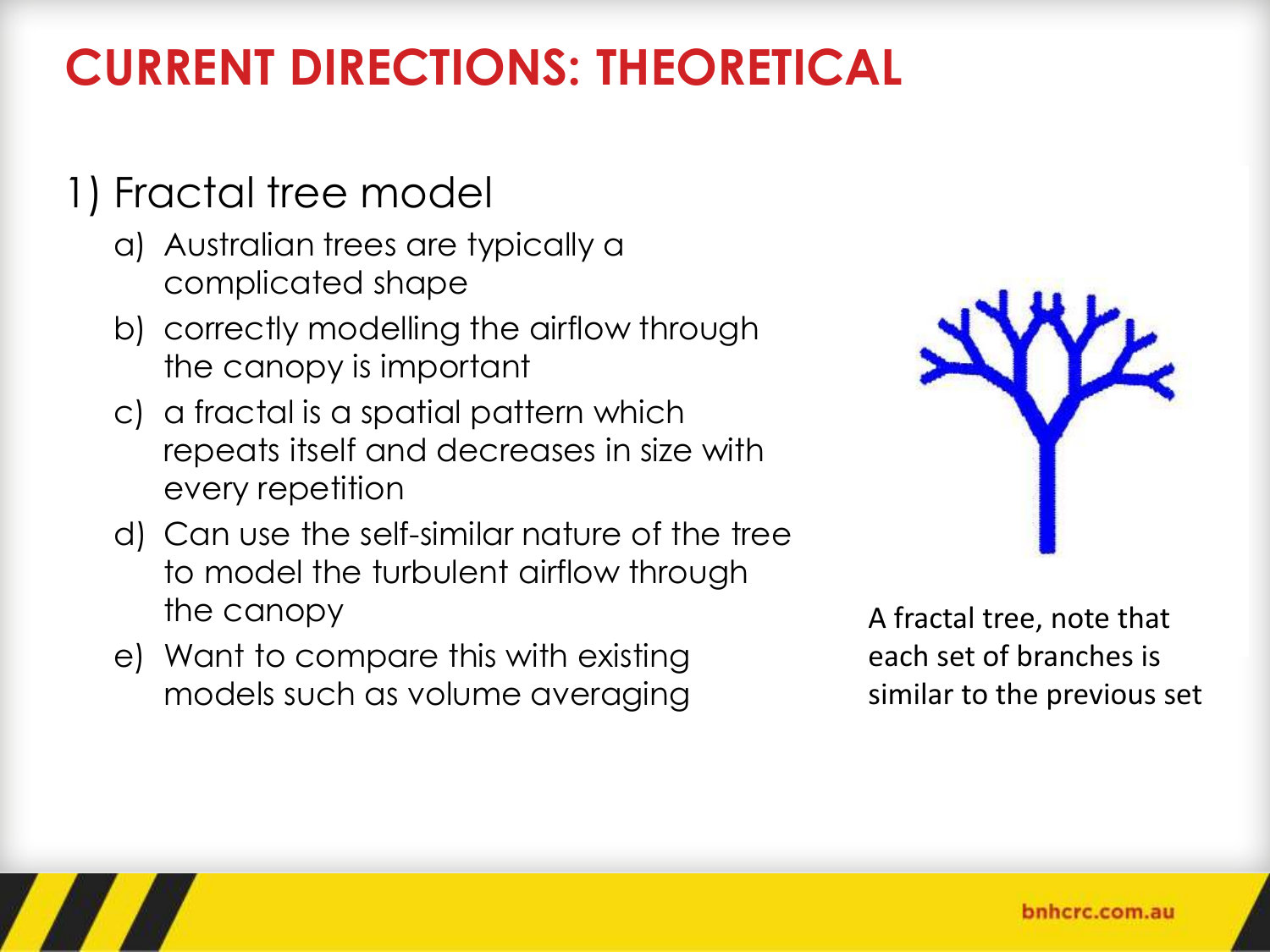# **CURRENT DIRECTIONS: THEORETICAL**

#### 1) Fractal tree model

- a) Australian trees are typically a complicated shape
- b) correctly modelling the airflow through the canopy is important
- c) a fractal is a spatial pattern which repeats itself and decreases in size with every repetition
- d) Can use the self-similar nature of the tree to model the turbulent airflow through the canopy
- e) Want to compare this with existing models such as volume averaging



A fractal tree, note that each set of branches is similar to the previous set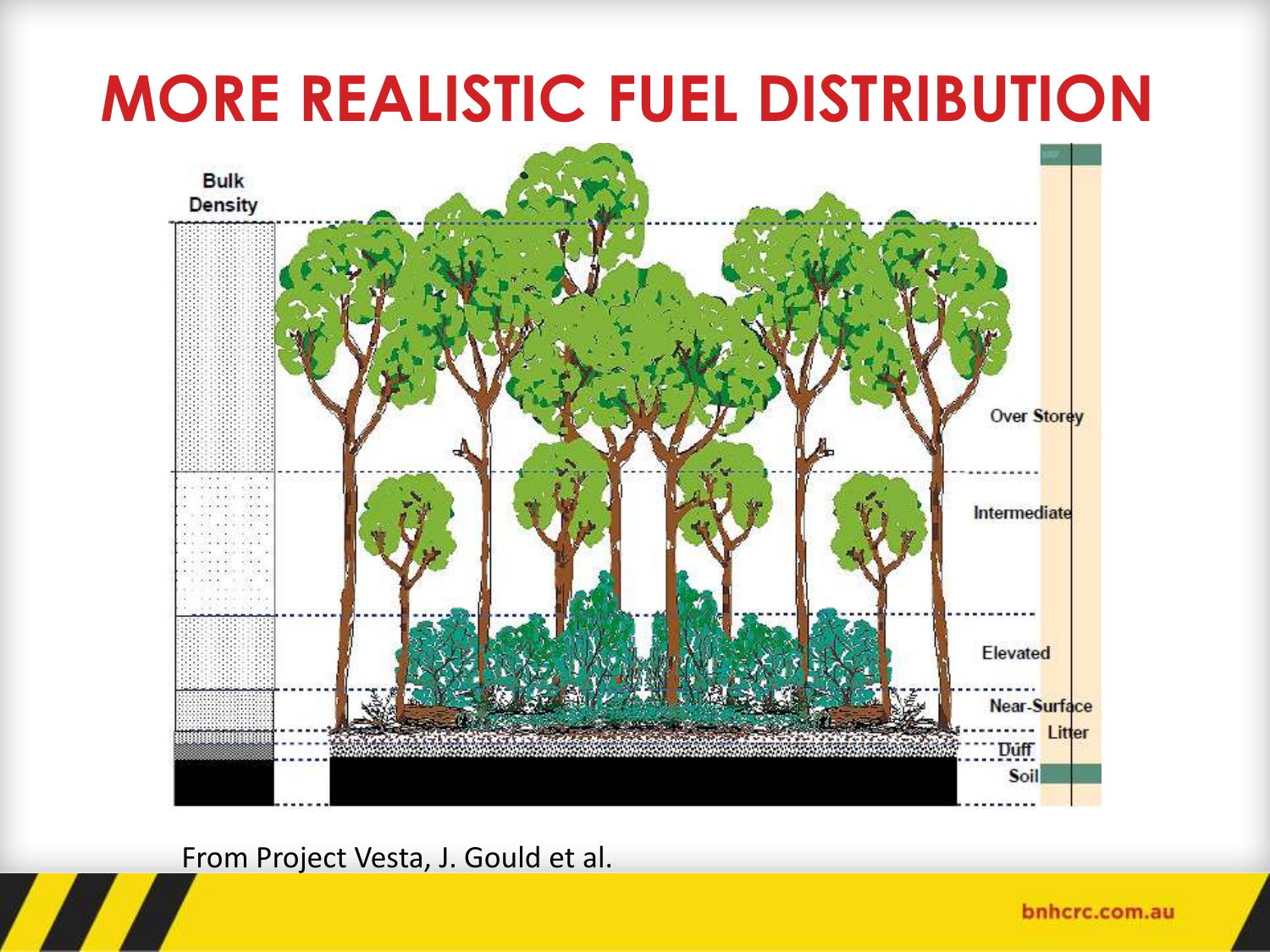# **MORE REALISTIC FUEL DISTRIBUTION**



From Project Vesta, J. Gould et al.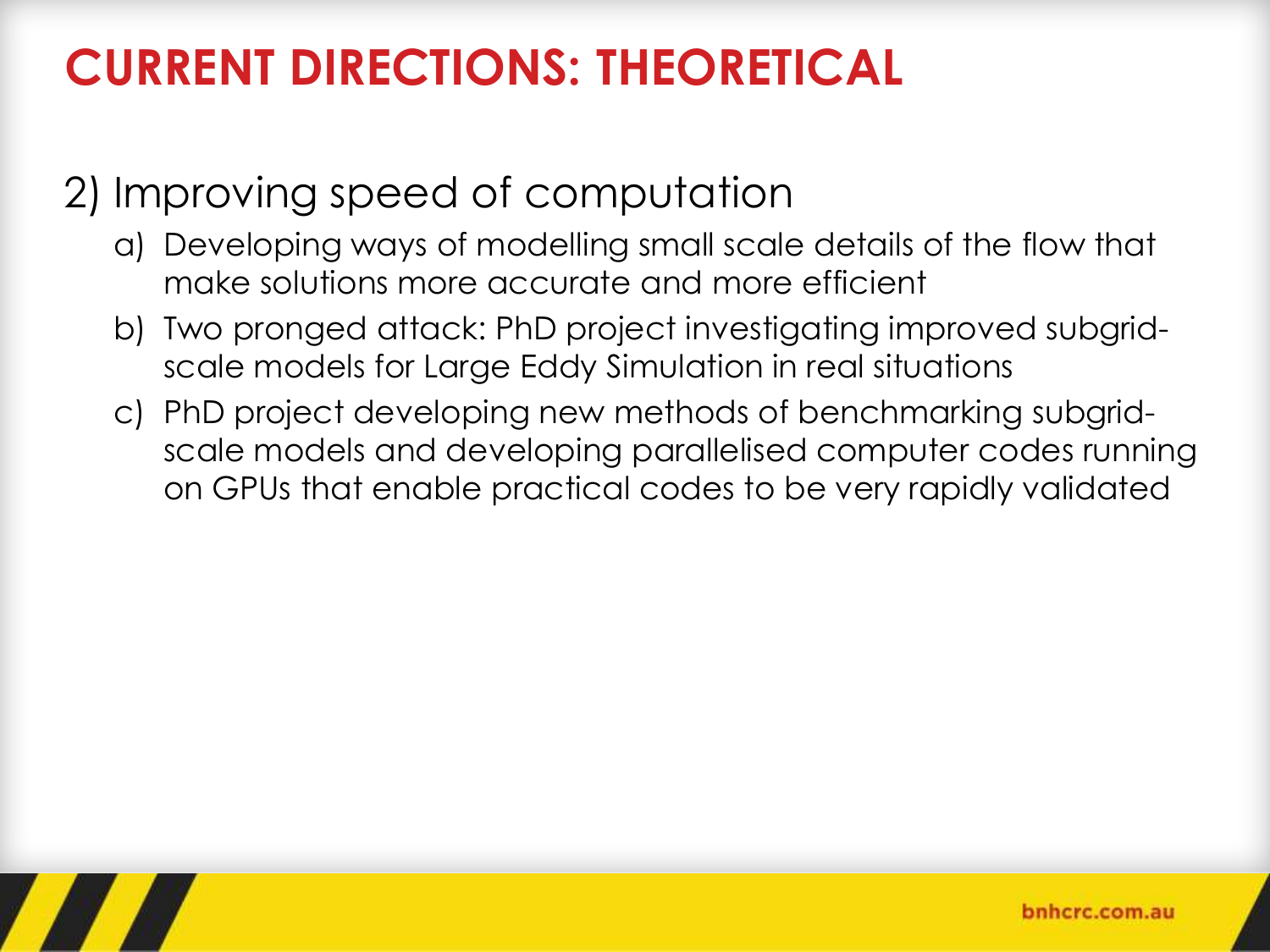# **CURRENT DIRECTIONS: THEORETICAL**

### 2) Improving speed of computation

- a) Developing ways of modelling small scale details of the flow that make solutions more accurate and more efficient
- b) Two pronged attack: PhD project investigating improved subgridscale models for Large Eddy Simulation in real situations
- c) PhD project developing new methods of benchmarking subgridscale models and developing parallelised computer codes running on GPUs that enable practical codes to be very rapidly validated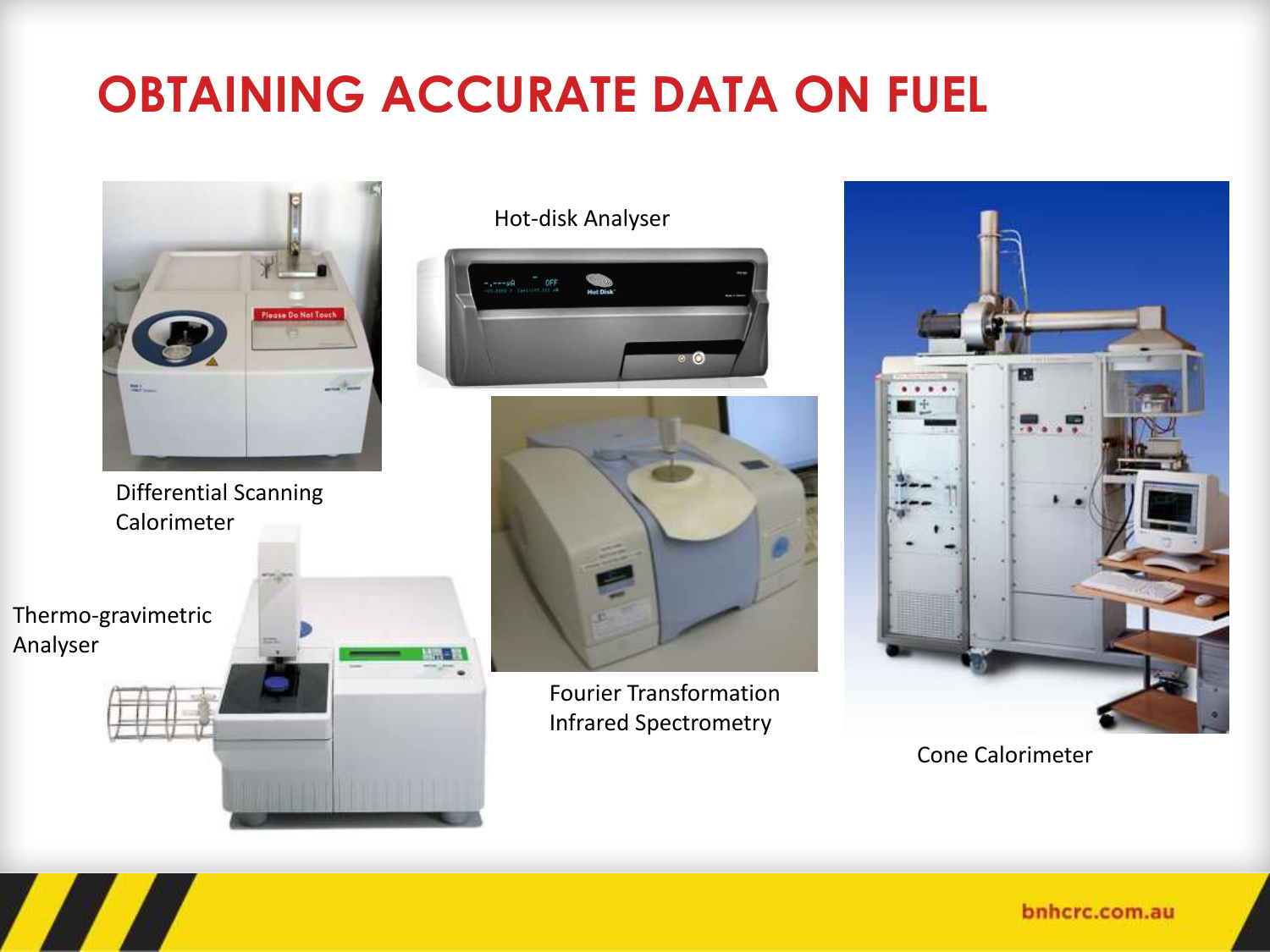# **OBTAINING ACCURATE DATA ON FUEL**



Differential Scanning Calorimeter

Thermo-gravimetric Analyser

Hot-disk Analyser





Fourier Transformation Infrared Spectrometry



Cone Calorimeter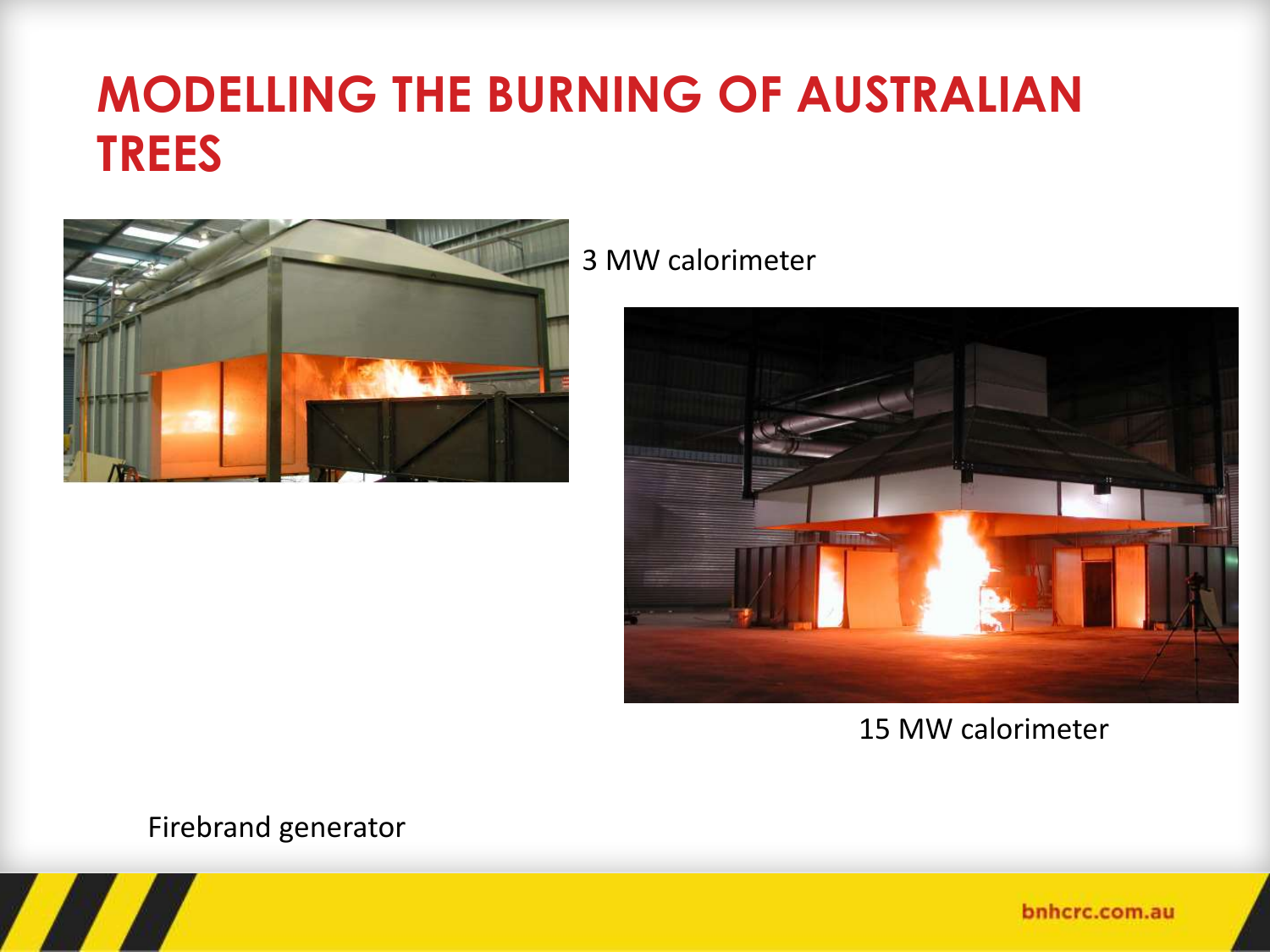# **MODELLING THE BURNING OF AUSTRALIAN TREES**



3 MW calorimeter



15 MW calorimeter

Firebrand generator

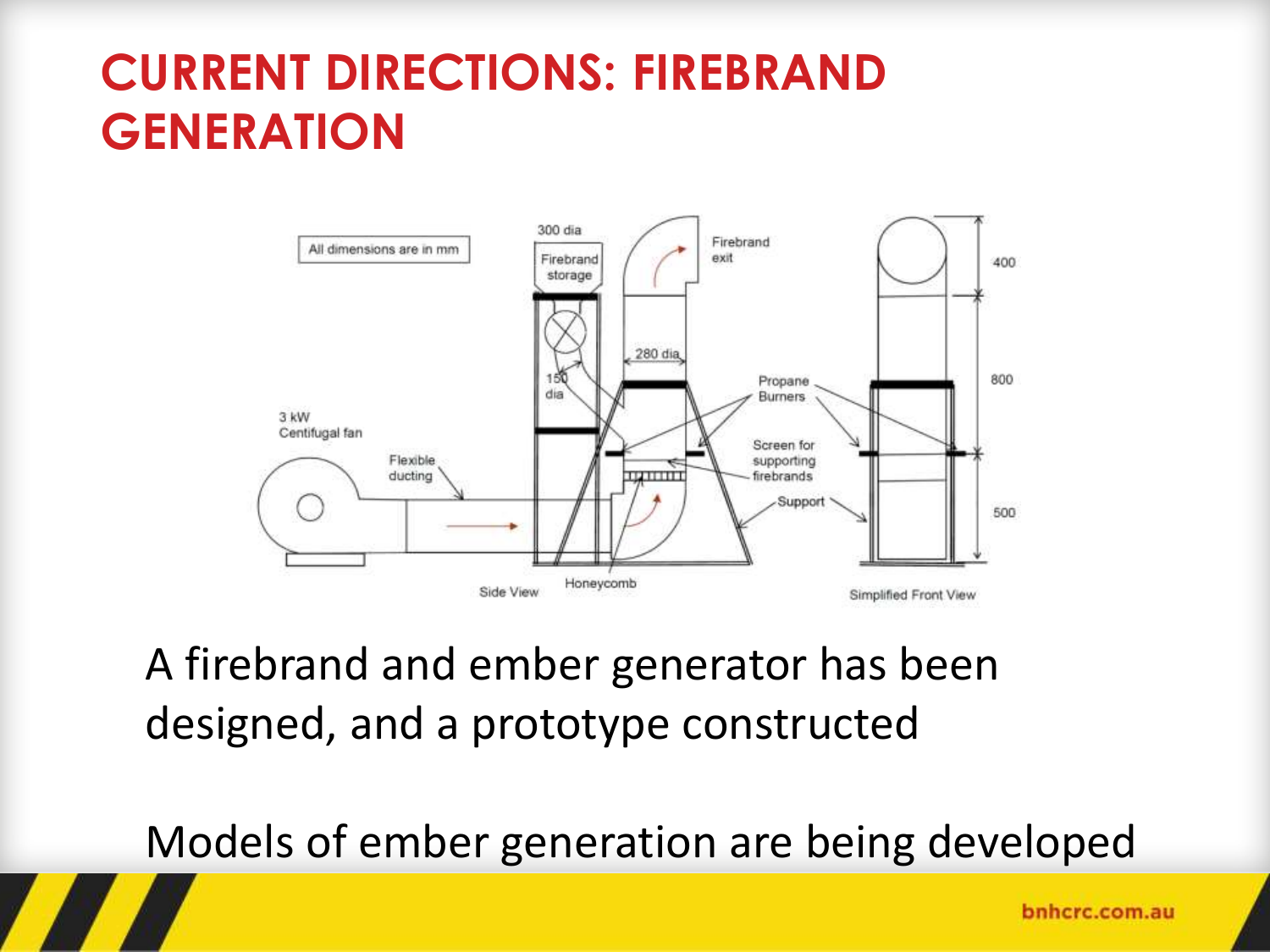# **CURRENT DIRECTIONS: FIREBRAND GENERATION**



A firebrand and ember generator has been designed, and a prototype constructed

Models of ember generation are being developed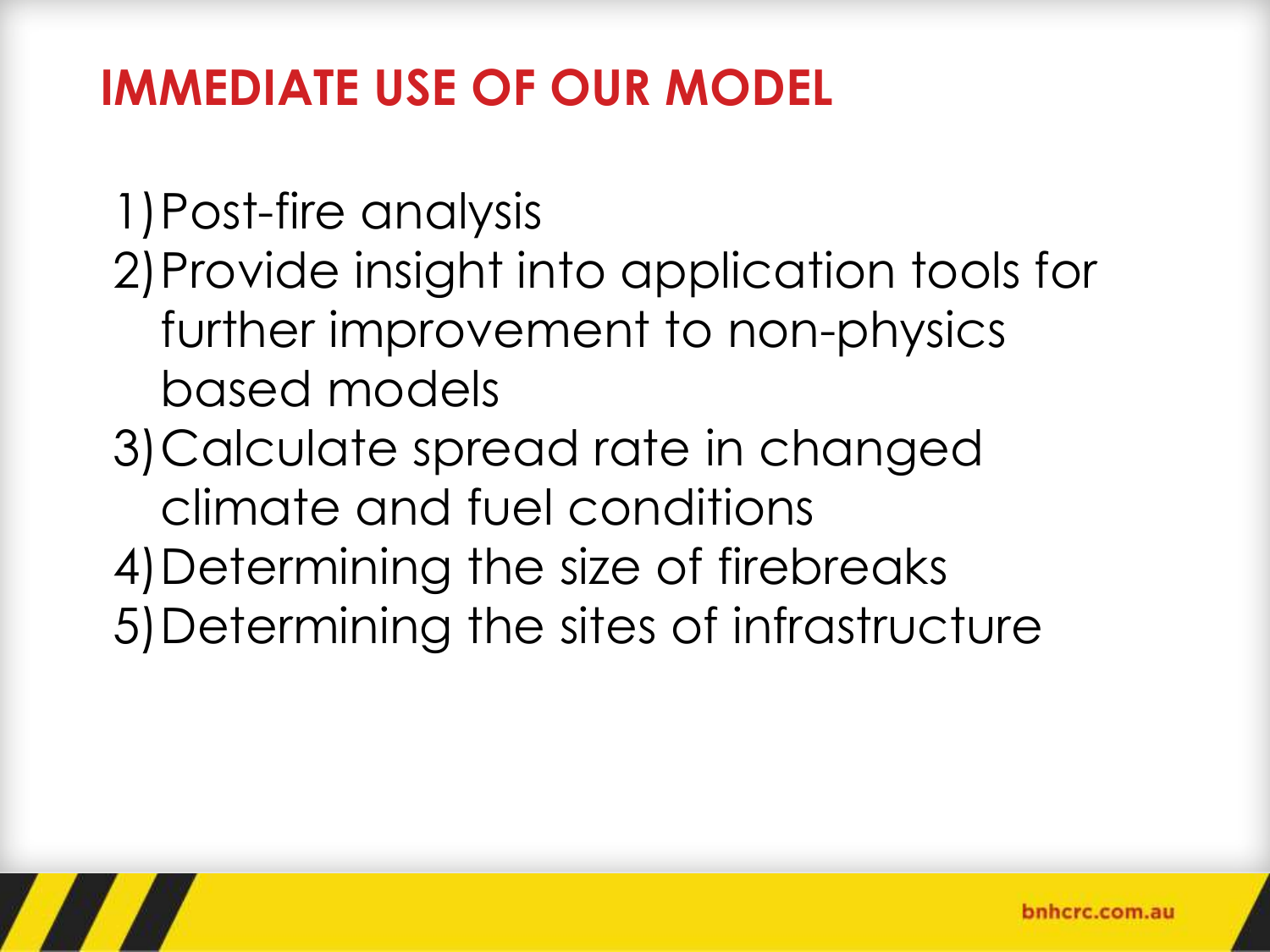## **IMMEDIATE USE OF OUR MODEL**

1)Post-fire analysis 2)Provide insight into application tools for further improvement to non-physics based models 3)Calculate spread rate in changed climate and fuel conditions 4)Determining the size of firebreaks 5)Determining the sites of infrastructure